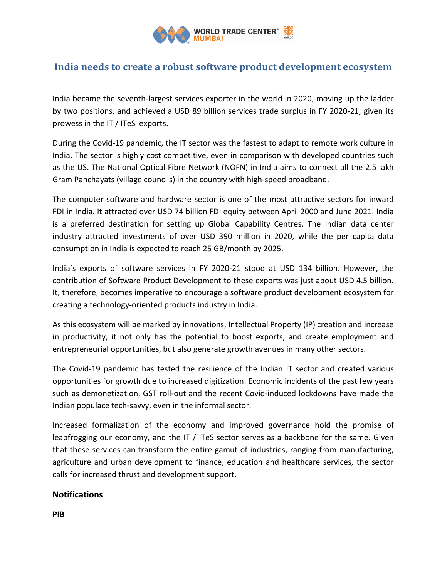

## India needs to create a robust software product development ecosystem

India became the seventh-largest services exporter in the world in 2020, moving up the ladder by two positions, and achieved a USD 89 billion services trade surplus in FY 2020-21, given its prowess in the IT / ITeS exports.

During the Covid-19 pandemic, the IT sector was the fastest to adapt to remote work culture in India. The sector is highly cost competitive, even in comparison with developed countries such as the US. The National Optical Fibre Network (NOFN) in India aims to connect all the 2.5 lakh Gram Panchayats (village councils) in the country with high-speed broadband.

The computer software and hardware sector is one of the most attractive sectors for inward FDI in India. It attracted over USD 74 billion FDI equity between April 2000 and June 2021. India is a preferred destination for setting up Global Capability Centres. The Indian data center industry attracted investments of over USD 390 million in 2020, while the per capita data consumption in India is expected to reach 25 GB/month by 2025.

India's exports of software services in FY 2020-21 stood at USD 134 billion. However, the contribution of Software Product Development to these exports was just about USD 4.5 billion. It, therefore, becomes imperative to encourage a software product development ecosystem for creating a technology-oriented products industry in India.

As this ecosystem will be marked by innovations, Intellectual Property (IP) creation and increase in productivity, it not only has the potential to boost exports, and create employment and entrepreneurial opportunities, but also generate growth avenues in many other sectors.

The Covid-19 pandemic has tested the resilience of the Indian IT sector and created various opportunities for growth due to increased digitization. Economic incidents of the past few years such as demonetization, GST roll-out and the recent Covid-induced lockdowns have made the Indian populace tech-savvy, even in the informal sector.

Increased formalization of the economy and improved governance hold the promise of leapfrogging our economy, and the IT / ITeS sector serves as a backbone for the same. Given that these services can transform the entire gamut of industries, ranging from manufacturing, agriculture and urban development to finance, education and healthcare services, the sector calls for increased thrust and development support.

## **Notifications**

PIB